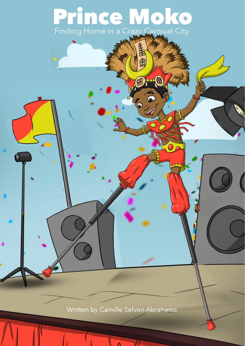# Prince Moko Finding Home in a Crazy Carnival City

3333

82

6

Back

Written by Camille Selvon Abrahams

 $\Lambda$ 

LL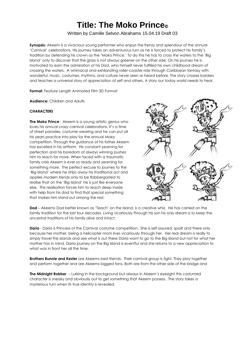## **Title: The Moko Prince**©

#### Written by Camille Selvon Abrahams 15.04.19 Draft 03

**Synopsis:** Akeem is a vivacious young performer who enjoys the frenzy and splendour of the annual 'Carnival' celebrations. His journey takes an adventurous turn as he is forced to protect his family's tradition by defending his crown as the 'Moko Prince.' To do this he has to cross the waters to the 'Big Island' only to discover that the grass is not always greener on the other side. On his journey he is motivated to earn the admiration of his Dad, who himself never fulfilled his own childhood dream of crossing the waters. A whimsical and exhilarating roller-coaster ride through Caribbean fantasy with wonderful, music, costumes, rhythms, and culture never seen or heard before. The story crosses borders and teaches a universal story of appreciation of self and others. A story our today world needs to hear.

**Format:** Feature Length Animated Film 3D Format

**Audience:** Children and Adults

#### **CHARACTERS**

**The Moko Prince** - Akeem is a young artistic genius who loves his annual crazy carnival celebrations. It's a time of street parades, costume wearing and he can put all his years practice into play for the annual Moko competition. Through the guidance of his father Akeem has excelled in his artform. His constant yearning for perfection and his boredom of always winning pushes him to reach for more. When faced with a traumatic family crisis Akeem is ever so ready and yearning for something more. The perfect excuse to journey to the 'Big Island' where he strips away his traditional act and applies modern trends only to be flabbergasted to realise that on the 'Big Island' he is just like everyone else. This realisation forces him to reach deep inside with help from his dad to find that special something that makes him stand out among the rest.



**Dad** – Akeems Dad better known as 'Teach' on the Island, is a creative whiz. He has carried on the family tradition for the last four decades. Living vicariously through his son his only dream is to keep the ancestral traditions of his family alive and intact.

**Daria** - Daria is Princess of the Carnival costume competition. She is self assured, spoilt and there only because her mother, being a helicopter mom lives vicariously through her. Her real dream is really to simply travel the islands and see what is out there Daria want to go to the Big Island but not for what her mother has in mind. Daria journey on the Big Island is eventful and she returns to a new appreciation to what was in front her all the time.

**Brothers Bunnie and Kester** are Akeems best friends. Their carnival group is tight. They play together and perform together and are Akeems biggest fans. Both are from the other side of the bridge and

**The Midnight Robber** – Lurking in the background but always in Akeem's eyesight this costumed character is sneaky and obviously out to get something that Akeem possess. The story takes a mysterious turn when its true identity is revealed.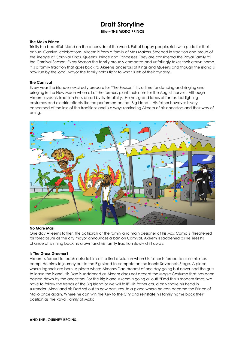### **Draft Storyline Title – THE MOKO PRINCE**

#### **The Moko Prince**

Trinity is a beautiful island on the other side of the world. Full of happy people, rich with pride for their annual Carnival celebrations. Akeem is from a family of Mas Makers. Steeped in tradition and proud of the lineage of Carnival Kings, Queens, Prince and Princesses. They are considered the Royal Family of the Carnival Season. Every Season the family proudly competes and unfailingly takes their crown home. It is a family tradition that goes back to Akeems ancestors of Kings and Queens and though the island is now run by the local Mayor the family holds tight to what is left of their dynasty.

#### **The Carnival**

Every year the islanders excitedly prepare for 'The Season' It is a time for dancing and singing and bringing in the New Moon when all of the farmers plant their corn for the August harvest. Although Akeem loves his tradition he is bored by its simplicity. He has grand ideas of fantastical lighting costumes and electric effects like the performers on the 'Big Island'. His father however is very concerned of the loss of the traditions and is always reminding Akeem of his ancestors and their way of being.



#### **No More Mas!**

One day Akeems father, the patriarch of the family and main designer at his Mas Camp is threatened for foreclosure as the city mayor announces a ban on Carnival. Akeem is saddened as he sees his chance of winning back his crown and his family tradition slowly drift away.

#### **Is The Grass Greener?**

Akeem is forced to reach outside himself to find a solution when his father is forced to close his mas camp. He aims to journey out to the Big Island to compete on the iconic Savannah Stage. A place where legends are born. A place where Akeems Dad dreamt of one day going but never had the guts to leave the island. His Dad is saddened as Akeem does not accept the Magic Costume that has been passed down by the ancestors. For the Big Island Akeem is going all out! "Dad this is modern times, we have to follow the trends of the Big Island or we will fail!" His father could only shake his head in surrender. Akeel and his Dad set out to new pastures, to a place where he can become the Prince of Moko once again. Where he can win the Key to the City and reinstate his family name back their position as the Royal Family of Moko.